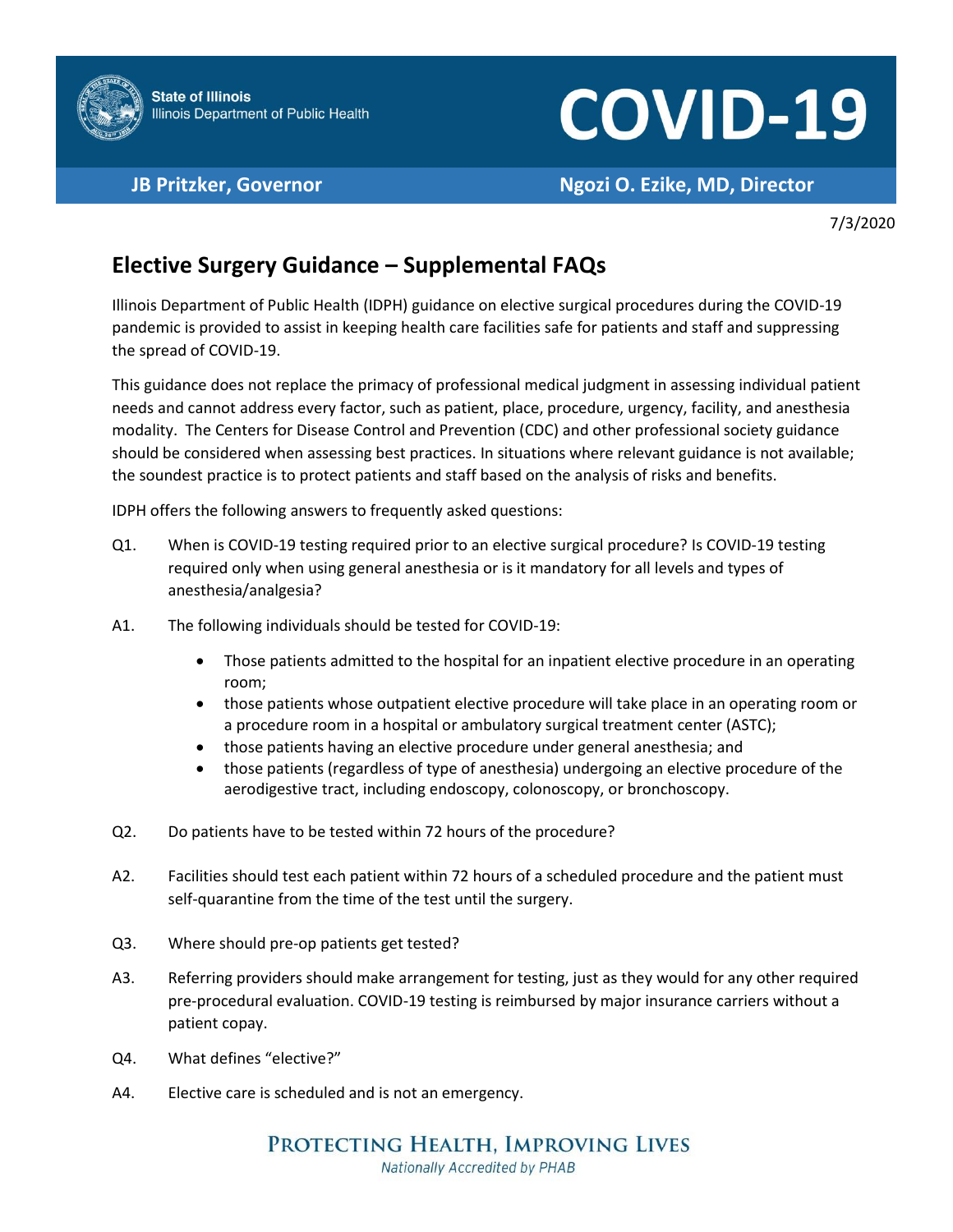

## **COVID-19**

**JB Pritzker, Governor Ngozi O. Ezike, MD, Director**

7/3/2020

## **Elective Surgery Guidance – Supplemental FAQs**

Illinois Department of Public Health (IDPH) guidance on elective surgical procedures during the COVID-19 pandemic is provided to assist in keeping health care facilities safe for patients and staff and suppressing the spread of COVID-19.

This guidance does not replace the primacy of professional medical judgment in assessing individual patient needs and cannot address every factor, such as patient, place, procedure, urgency, facility, and anesthesia modality. The Centers for Disease Control and Prevention (CDC) and other professional society guidance should be considered when assessing best practices. In situations where relevant guidance is not available; the soundest practice is to protect patients and staff based on the analysis of risks and benefits.

IDPH offers the following answers to frequently asked questions:

- Q1. When is COVID-19 testing required prior to an elective surgical procedure? Is COVID-19 testing required only when using general anesthesia or is it mandatory for all levels and types of anesthesia/analgesia?
- A1. The following individuals should be tested for COVID-19:
	- Those patients admitted to the hospital for an inpatient elective procedure in an operating room;
	- those patients whose outpatient elective procedure will take place in an operating room or a procedure room in a hospital or ambulatory surgical treatment center (ASTC);
	- those patients having an elective procedure under general anesthesia; and
	- those patients (regardless of type of anesthesia) undergoing an elective procedure of the aerodigestive tract, including endoscopy, colonoscopy, or bronchoscopy.
- Q2. Do patients have to be tested within 72 hours of the procedure?
- A2. Facilities should test each patient within 72 hours of a scheduled procedure and the patient must self-quarantine from the time of the test until the surgery.
- Q3. Where should pre-op patients get tested?
- A3. Referring providers should make arrangement for testing, just as they would for any other required pre-procedural evaluation. COVID-19 testing is reimbursed by major insurance carriers without a patient copay.
- Q4. What defines "elective?"
- A4. Elective care is scheduled and is not an emergency.